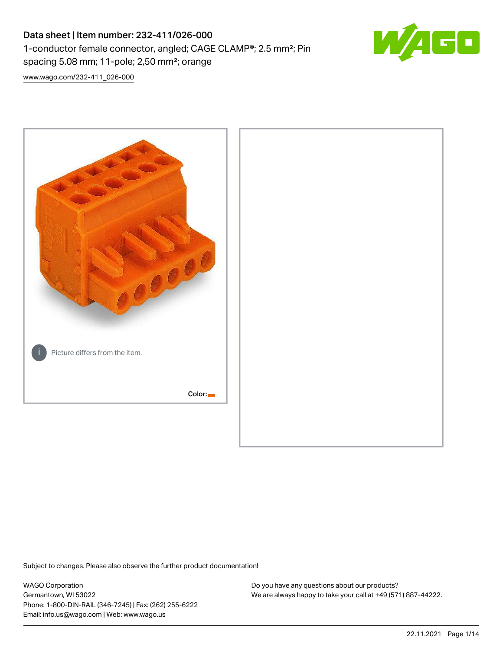# Data sheet | Item number: 232-411/026-000 1-conductor female connector, angled; CAGE CLAMP®; 2.5 mm²; Pin spacing 5.08 mm; 11-pole; 2,50 mm²; orange



[www.wago.com/232-411\\_026-000](http://www.wago.com/232-411_026-000)



Subject to changes. Please also observe the further product documentation!

WAGO Corporation Germantown, WI 53022 Phone: 1-800-DIN-RAIL (346-7245) | Fax: (262) 255-6222 Email: info.us@wago.com | Web: www.wago.us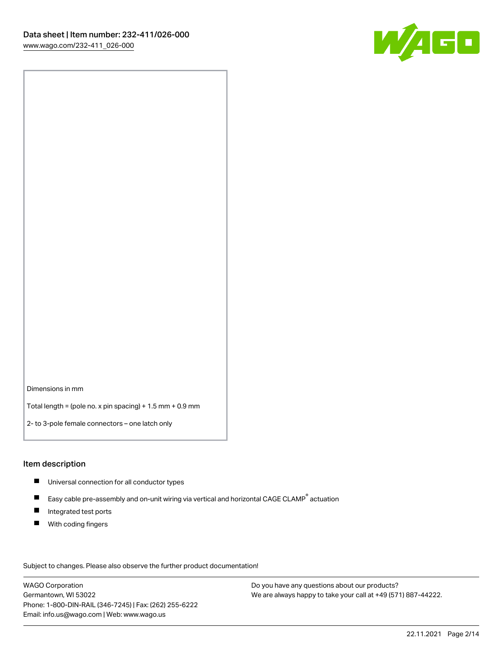

Dimensions in mm

Total length = (pole no. x pin spacing) + 1.5 mm + 0.9 mm

2- to 3-pole female connectors – one latch only

#### Item description

- **Universal connection for all conductor types**
- Easy cable pre-assembly and on-unit wiring via vertical and horizontal CAGE CLAMP<sup>®</sup> actuation  $\blacksquare$
- $\blacksquare$ Integrated test ports
- $\blacksquare$ With coding fingers

Subject to changes. Please also observe the further product documentation! Data

WAGO Corporation Germantown, WI 53022 Phone: 1-800-DIN-RAIL (346-7245) | Fax: (262) 255-6222 Email: info.us@wago.com | Web: www.wago.us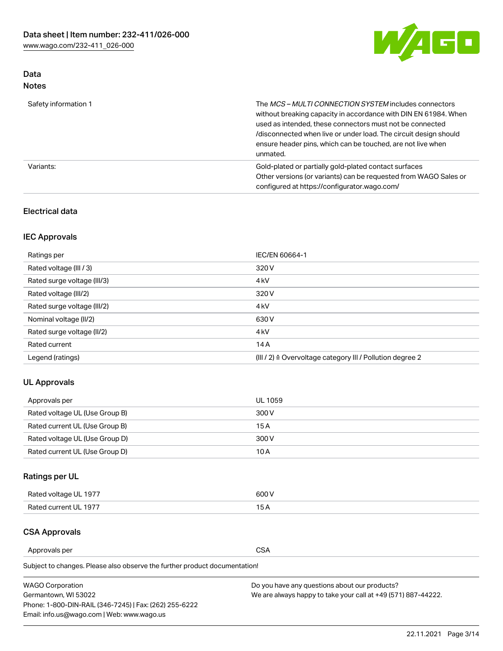

# Data Notes

| Safety information 1 | The MCS-MULTI CONNECTION SYSTEM includes connectors<br>without breaking capacity in accordance with DIN EN 61984. When<br>used as intended, these connectors must not be connected<br>/disconnected when live or under load. The circuit design should<br>ensure header pins, which can be touched, are not live when<br>unmated. |
|----------------------|-----------------------------------------------------------------------------------------------------------------------------------------------------------------------------------------------------------------------------------------------------------------------------------------------------------------------------------|
| Variants:            | Gold-plated or partially gold-plated contact surfaces<br>Other versions (or variants) can be requested from WAGO Sales or<br>configured at https://configurator.wago.com/                                                                                                                                                         |

## Electrical data

# IEC Approvals

| Ratings per                 | IEC/EN 60664-1                                                        |
|-----------------------------|-----------------------------------------------------------------------|
| Rated voltage (III / 3)     | 320 V                                                                 |
| Rated surge voltage (III/3) | 4 <sub>k</sub> V                                                      |
| Rated voltage (III/2)       | 320 V                                                                 |
| Rated surge voltage (III/2) | 4 <sub>k</sub> V                                                      |
| Nominal voltage (II/2)      | 630 V                                                                 |
| Rated surge voltage (II/2)  | 4 <sub>k</sub> V                                                      |
| Rated current               | 14A                                                                   |
| Legend (ratings)            | $(III / 2)$ $\triangle$ Overvoltage category III / Pollution degree 2 |

## UL Approvals

| Approvals per                  | UL 1059 |
|--------------------------------|---------|
| Rated voltage UL (Use Group B) | 300 V   |
| Rated current UL (Use Group B) | 15 A    |
| Rated voltage UL (Use Group D) | 300 V   |
| Rated current UL (Use Group D) | 10 A    |

# Ratings per UL

| Rated voltage UL 1977 | 600 V         |
|-----------------------|---------------|
| Rated current UL 1977 | $\sim$ $\sim$ |

## CSA Approvals

Approvals per CSA

Subject to changes. Please also observe the further product documentation!

| <b>WAGO Corporation</b>                                | Do you have any questions about our products?                 |
|--------------------------------------------------------|---------------------------------------------------------------|
| Germantown, WI 53022                                   | We are always happy to take your call at +49 (571) 887-44222. |
| Phone: 1-800-DIN-RAIL (346-7245)   Fax: (262) 255-6222 |                                                               |
| Email: info.us@wago.com   Web: www.wago.us             |                                                               |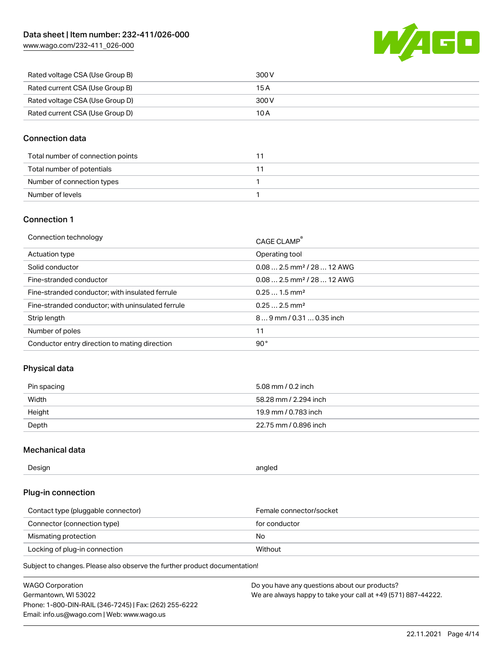[www.wago.com/232-411\\_026-000](http://www.wago.com/232-411_026-000)



| Rated voltage CSA (Use Group B) | 300 V |
|---------------------------------|-------|
| Rated current CSA (Use Group B) | 15 A  |
| Rated voltage CSA (Use Group D) | 300 V |
| Rated current CSA (Use Group D) | 10 A  |

## Connection data

| Total number of connection points |  |
|-----------------------------------|--|
| Total number of potentials        |  |
| Number of connection types        |  |
| Number of levels                  |  |

## Connection 1

| Connection technology                             | CAGE CLAMP®                            |
|---------------------------------------------------|----------------------------------------|
| Actuation type                                    | Operating tool                         |
| Solid conductor                                   | $0.082.5$ mm <sup>2</sup> / 28  12 AWG |
| Fine-stranded conductor                           | $0.082.5$ mm <sup>2</sup> / 28  12 AWG |
| Fine-stranded conductor; with insulated ferrule   | $0.251.5$ mm <sup>2</sup>              |
| Fine-stranded conductor; with uninsulated ferrule | $0.252.5$ mm <sup>2</sup>              |
| Strip length                                      | $89$ mm / 0.31  0.35 inch              |
| Number of poles                                   | 11                                     |
| Conductor entry direction to mating direction     | 90°                                    |
|                                                   |                                        |

## Physical data

| Pin spacing | 5.08 mm / 0.2 inch    |
|-------------|-----------------------|
| Width       | 58.28 mm / 2.294 inch |
| Height      | 19.9 mm / 0.783 inch  |
| Depth       | 22.75 mm / 0.896 inch |

## Mechanical data

| Design<br>angled |  |
|------------------|--|
|------------------|--|

## Plug-in connection

| Contact type (pluggable connector) | Female connector/socket |
|------------------------------------|-------------------------|
| Connector (connection type)        | for conductor           |
| Mismating protection               | No.                     |
| Locking of plug-in connection      | Without                 |

Subject to changes. Please also observe the further product documentation!

| <b>WAGO Corporation</b>                                | Do you have any questions about our products?                 |
|--------------------------------------------------------|---------------------------------------------------------------|
| Germantown, WI 53022                                   | We are always happy to take your call at +49 (571) 887-44222. |
| Phone: 1-800-DIN-RAIL (346-7245)   Fax: (262) 255-6222 |                                                               |
| Email: info.us@wago.com   Web: www.wago.us             |                                                               |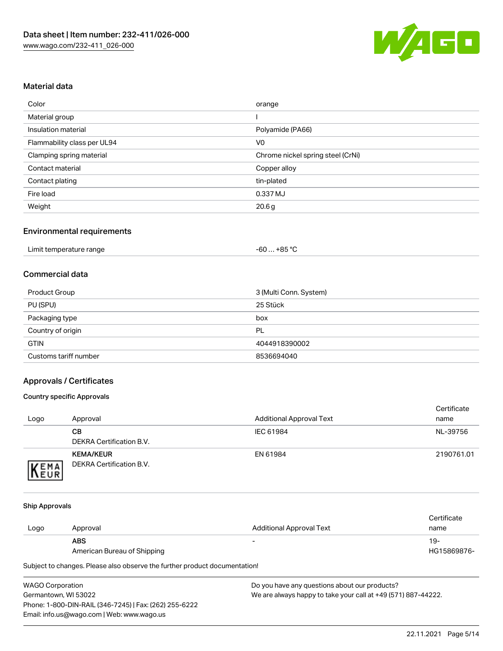

# Material data

| Color                       | orange                            |
|-----------------------------|-----------------------------------|
| Material group              |                                   |
| Insulation material         | Polyamide (PA66)                  |
| Flammability class per UL94 | V <sub>0</sub>                    |
| Clamping spring material    | Chrome nickel spring steel (CrNi) |
| Contact material            | Copper alloy                      |
| Contact plating             | tin-plated                        |
| Fire load                   | 0.337 MJ                          |
| Weight                      | 20.6g                             |

## Environmental requirements

| Limit temperature range<br>. | . +85 °Ր<br>cn.<br>-ou |  |
|------------------------------|------------------------|--|
|------------------------------|------------------------|--|

## Commercial data

| Product Group         | 3 (Multi Conn. System) |
|-----------------------|------------------------|
| PU (SPU)              | 25 Stück               |
| Packaging type        | box                    |
| Country of origin     | PL                     |
| <b>GTIN</b>           | 4044918390002          |
| Customs tariff number | 8536694040             |

## Approvals / Certificates

#### Country specific Approvals

| Logo                | Approval                                     | <b>Additional Approval Text</b> | Certificate<br>name |
|---------------------|----------------------------------------------|---------------------------------|---------------------|
|                     | CВ<br>DEKRA Certification B.V.               | IEC 61984                       | NL-39756            |
| EMA<br><b>INEUR</b> | <b>KEMA/KEUR</b><br>DEKRA Certification B.V. | EN 61984                        | 2190761.01          |

#### Ship Approvals

|      |                             |                          | Certificate |
|------|-----------------------------|--------------------------|-------------|
| Logo | Approval                    | Additional Approval Text | name        |
|      | <b>ABS</b>                  | $\overline{\phantom{0}}$ | 19-         |
|      | American Bureau of Shipping |                          | HG15869876- |

Subject to changes. Please also observe the further product documentation!

| <b>WAGO Corporation</b>                                | Do vot |
|--------------------------------------------------------|--------|
| Germantown, WI 53022                                   | We are |
| Phone: 1-800-DIN-RAIL (346-7245)   Fax: (262) 255-6222 |        |
| Email: info.us@wago.com   Web: www.wago.us             |        |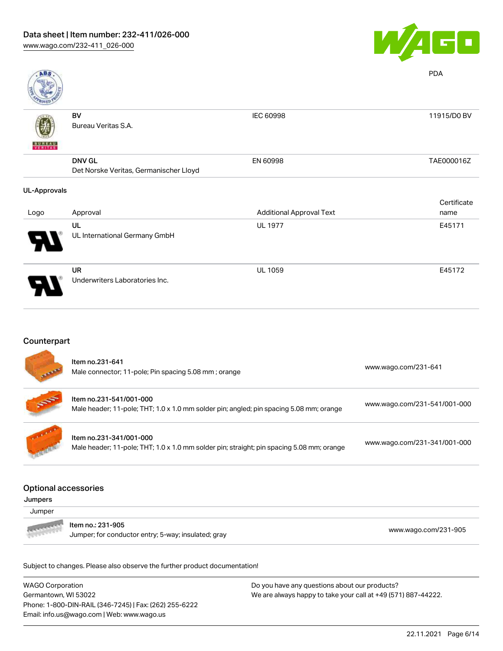

| <b>ABS</b>          |                                        |                                 | <b>PDA</b>  |
|---------------------|----------------------------------------|---------------------------------|-------------|
|                     | BV                                     | IEC 60998                       | 11915/D0 BV |
| <b>BUREAU</b>       | Bureau Veritas S.A.                    |                                 |             |
|                     |                                        |                                 |             |
|                     | <b>DNV GL</b>                          | EN 60998                        | TAE000016Z  |
|                     | Det Norske Veritas, Germanischer Lloyd |                                 |             |
| <b>UL-Approvals</b> |                                        |                                 |             |
|                     |                                        |                                 | Certificate |
| Logo                | Approval                               | <b>Additional Approval Text</b> | name        |
|                     | UL                                     | <b>UL 1977</b>                  | E45171      |
|                     | UL International Germany GmbH          |                                 |             |
|                     | UR                                     | <b>UL 1059</b>                  | E45172      |
|                     | Underwriters Laboratories Inc.         |                                 |             |
|                     |                                        |                                 |             |

## Counterpart

|                                                  | Item no.231-641<br>Male connector; 11-pole; Pin spacing 5.08 mm; orange                                              | www.wago.com/231-641         |
|--------------------------------------------------|----------------------------------------------------------------------------------------------------------------------|------------------------------|
|                                                  | Item no.231-541/001-000<br>Male header; 11-pole; THT; 1.0 x 1.0 mm solder pin; angled; pin spacing 5.08 mm; orange   | www.wago.com/231-541/001-000 |
|                                                  | Item no.231-341/001-000<br>Male header; 11-pole; THT; 1.0 x 1.0 mm solder pin; straight; pin spacing 5.08 mm; orange | www.wago.com/231-341/001-000 |
| <b>Optional accessories</b><br>Jumpers<br>Jumper |                                                                                                                      |                              |
|                                                  | Item no.: 231-905                                                                                                    |                              |

Jumper; for conductor entry; 5-way; insulated; gray [www.wago.com/231-905](http://www.wago.com/231-905)

Subject to changes. Please also observe the further product documentation!

WAGO Corporation Germantown, WI 53022 Phone: 1-800-DIN-RAIL (346-7245) | Fax: (262) 255-6222 Email: info.us@wago.com | Web: www.wago.us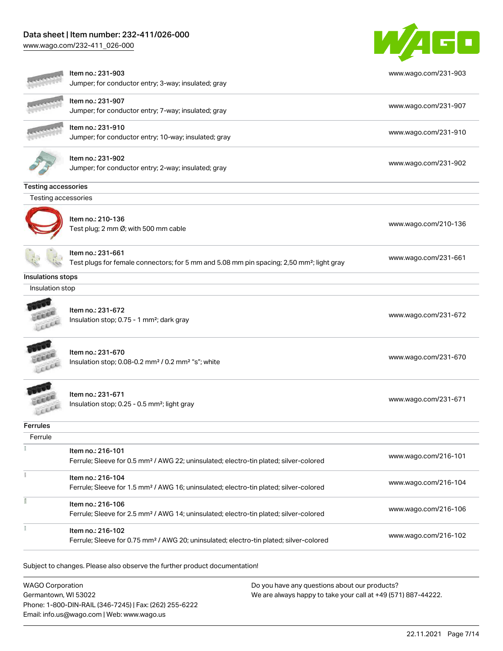[www.wago.com/232-411\\_026-000](http://www.wago.com/232-411_026-000)



|                            | Item no.: 231-903<br>Jumper; for conductor entry; 3-way; insulated; gray                                                   | www.wago.com/231-903 |
|----------------------------|----------------------------------------------------------------------------------------------------------------------------|----------------------|
|                            | Item no.: 231-907<br>Jumper; for conductor entry; 7-way; insulated; gray                                                   | www.wago.com/231-907 |
|                            | Item no.: 231-910<br>Jumper; for conductor entry; 10-way; insulated; gray                                                  | www.wago.com/231-910 |
|                            | Item no.: 231-902<br>Jumper; for conductor entry; 2-way; insulated; gray                                                   | www.wago.com/231-902 |
| <b>Testing accessories</b> |                                                                                                                            |                      |
| Testing accessories        |                                                                                                                            |                      |
|                            | Item no.: 210-136<br>Test plug; 2 mm Ø; with 500 mm cable                                                                  | www.wago.com/210-136 |
|                            | Item no.: 231-661<br>Test plugs for female connectors; for 5 mm and 5.08 mm pin spacing; 2,50 mm <sup>2</sup> ; light gray | www.wago.com/231-661 |
| Insulations stops          |                                                                                                                            |                      |
| Insulation stop            |                                                                                                                            |                      |
|                            | Item no.: 231-672<br>Insulation stop; 0.75 - 1 mm <sup>2</sup> ; dark gray                                                 | www.wago.com/231-672 |
|                            | Item no.: 231-670<br>Insulation stop; 0.08-0.2 mm <sup>2</sup> / 0.2 mm <sup>2</sup> "s"; white                            | www.wago.com/231-670 |
|                            | Item no.: 231-671<br>Insulation stop; 0.25 - 0.5 mm <sup>2</sup> ; light gray                                              | www.wago.com/231-671 |
| <b>Ferrules</b>            |                                                                                                                            |                      |
| Ferrule                    |                                                                                                                            |                      |
|                            | Item no.: 216-101<br>Ferrule; Sleeve for 0.5 mm <sup>2</sup> / AWG 22; uninsulated; electro-tin plated; silver-colored     | www.wago.com/216-101 |
|                            | Item no.: 216-104<br>Ferrule; Sleeve for 1.5 mm <sup>2</sup> / AWG 16; uninsulated; electro-tin plated; silver-colored     | www.wago.com/216-104 |
|                            | Item no.: 216-106<br>Ferrule; Sleeve for 2.5 mm <sup>2</sup> / AWG 14; uninsulated; electro-tin plated; silver-colored     | www.wago.com/216-106 |
|                            | Item no.: 216-102<br>Ferrule; Sleeve for 0.75 mm <sup>2</sup> / AWG 20; uninsulated; electro-tin plated; silver-colored    | www.wago.com/216-102 |
|                            | Subject to changes. Please also observe the further product documentation!                                                 |                      |
| <b>WAGO Corporation</b>    | Do you have any questions about our products?                                                                              |                      |

WAGO Corporation Germantown, WI 53022 Phone: 1-800-DIN-RAIL (346-7245) | Fax: (262) 255-6222 Email: info.us@wago.com | Web: www.wago.us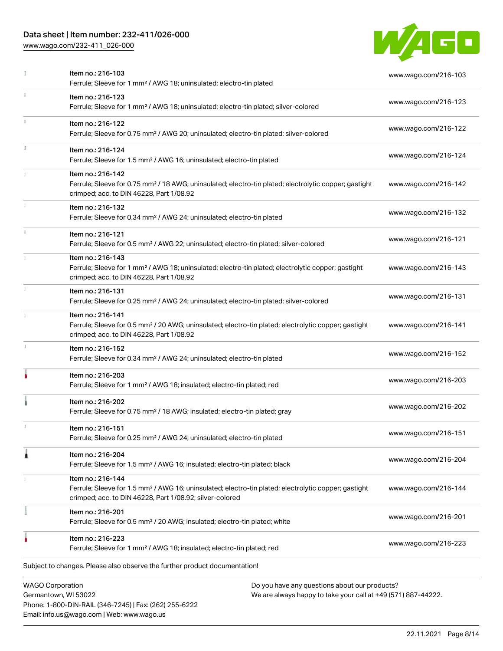Phone: 1-800-DIN-RAIL (346-7245) | Fax: (262) 255-6222

Email: info.us@wago.com | Web: www.wago.us

[www.wago.com/232-411\\_026-000](http://www.wago.com/232-411_026-000)



|    | Item no.: 216-103<br>Ferrule; Sleeve for 1 mm <sup>2</sup> / AWG 18; uninsulated; electro-tin plated                                                                                              |                                                                                                                | www.wago.com/216-103 |
|----|---------------------------------------------------------------------------------------------------------------------------------------------------------------------------------------------------|----------------------------------------------------------------------------------------------------------------|----------------------|
| ī. | Item no.: 216-123<br>Ferrule; Sleeve for 1 mm <sup>2</sup> / AWG 18; uninsulated; electro-tin plated; silver-colored                                                                              |                                                                                                                | www.wago.com/216-123 |
|    | Item no.: 216-122<br>Ferrule; Sleeve for 0.75 mm <sup>2</sup> / AWG 20; uninsulated; electro-tin plated; silver-colored                                                                           |                                                                                                                | www.wago.com/216-122 |
|    | Item no.: 216-124<br>Ferrule; Sleeve for 1.5 mm <sup>2</sup> / AWG 16; uninsulated; electro-tin plated                                                                                            |                                                                                                                | www.wago.com/216-124 |
|    | Item no.: 216-142<br>Ferrule; Sleeve for 0.75 mm <sup>2</sup> / 18 AWG; uninsulated; electro-tin plated; electrolytic copper; gastight<br>crimped; acc. to DIN 46228, Part 1/08.92                |                                                                                                                | www.wago.com/216-142 |
|    | Item no.: 216-132<br>Ferrule; Sleeve for 0.34 mm <sup>2</sup> / AWG 24; uninsulated; electro-tin plated                                                                                           |                                                                                                                | www.wago.com/216-132 |
|    | Item no.: 216-121<br>Ferrule; Sleeve for 0.5 mm <sup>2</sup> / AWG 22; uninsulated; electro-tin plated; silver-colored                                                                            |                                                                                                                | www.wago.com/216-121 |
|    | Item no.: 216-143<br>Ferrule; Sleeve for 1 mm <sup>2</sup> / AWG 18; uninsulated; electro-tin plated; electrolytic copper; gastight<br>crimped; acc. to DIN 46228, Part 1/08.92                   |                                                                                                                | www.wago.com/216-143 |
|    | Item no.: 216-131<br>Ferrule; Sleeve for 0.25 mm <sup>2</sup> / AWG 24; uninsulated; electro-tin plated; silver-colored                                                                           |                                                                                                                | www.wago.com/216-131 |
|    | Item no.: 216-141<br>Ferrule; Sleeve for 0.5 mm <sup>2</sup> / 20 AWG; uninsulated; electro-tin plated; electrolytic copper; gastight<br>crimped; acc. to DIN 46228, Part 1/08.92                 |                                                                                                                | www.wago.com/216-141 |
| I. | Item no.: 216-152<br>Ferrule; Sleeve for 0.34 mm <sup>2</sup> / AWG 24; uninsulated; electro-tin plated                                                                                           |                                                                                                                | www.wago.com/216-152 |
|    | Item no.: 216-203<br>Ferrule; Sleeve for 1 mm <sup>2</sup> / AWG 18; insulated; electro-tin plated; red                                                                                           |                                                                                                                | www.wago.com/216-203 |
|    | Item no.: 216-202<br>Ferrule; Sleeve for 0.75 mm <sup>2</sup> / 18 AWG; insulated; electro-tin plated; gray                                                                                       |                                                                                                                | www.wago.com/216-202 |
|    | Item no.: 216-151<br>Ferrule; Sleeve for 0.25 mm <sup>2</sup> / AWG 24; uninsulated; electro-tin plated                                                                                           |                                                                                                                | www.wago.com/216-151 |
|    | Item no.: 216-204<br>Ferrule; Sleeve for 1.5 mm <sup>2</sup> / AWG 16; insulated; electro-tin plated; black                                                                                       |                                                                                                                | www.wago.com/216-204 |
|    | Item no.: 216-144<br>Ferrule; Sleeve for 1.5 mm <sup>2</sup> / AWG 16; uninsulated; electro-tin plated; electrolytic copper; gastight<br>crimped; acc. to DIN 46228, Part 1/08.92; silver-colored |                                                                                                                | www.wago.com/216-144 |
|    | Item no.: 216-201<br>Ferrule; Sleeve for 0.5 mm <sup>2</sup> / 20 AWG; insulated; electro-tin plated; white                                                                                       |                                                                                                                | www.wago.com/216-201 |
|    | Item no.: 216-223<br>Ferrule; Sleeve for 1 mm <sup>2</sup> / AWG 18; insulated; electro-tin plated; red                                                                                           |                                                                                                                | www.wago.com/216-223 |
|    | Subject to changes. Please also observe the further product documentation!                                                                                                                        |                                                                                                                |                      |
|    | <b>WAGO Corporation</b><br>Germantown, WI 53022                                                                                                                                                   | Do you have any questions about our products?<br>We are always happy to take your call at +49 (571) 887-44222. |                      |

22.11.2021 Page 8/14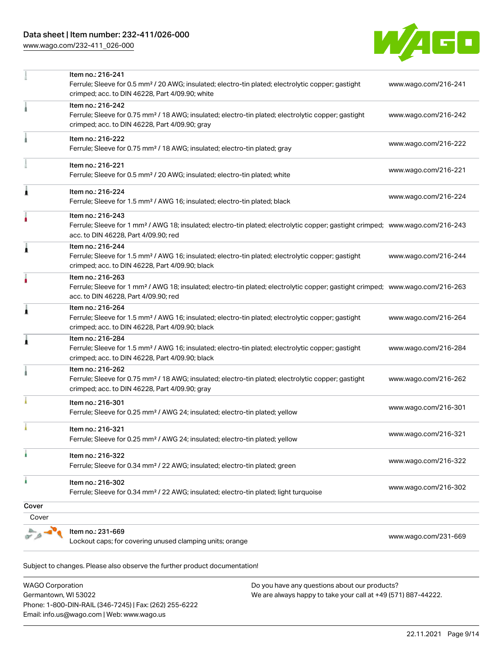[www.wago.com/232-411\\_026-000](http://www.wago.com/232-411_026-000)



|                | Item no.: 216-241<br>Ferrule; Sleeve for 0.5 mm <sup>2</sup> / 20 AWG; insulated; electro-tin plated; electrolytic copper; gastight<br>crimped; acc. to DIN 46228, Part 4/09.90; white                  | www.wago.com/216-241 |
|----------------|---------------------------------------------------------------------------------------------------------------------------------------------------------------------------------------------------------|----------------------|
|                | Item no.: 216-242<br>Ferrule; Sleeve for 0.75 mm <sup>2</sup> / 18 AWG; insulated; electro-tin plated; electrolytic copper; gastight<br>crimped; acc. to DIN 46228, Part 4/09.90; gray                  | www.wago.com/216-242 |
|                | Item no.: 216-222<br>Ferrule; Sleeve for 0.75 mm <sup>2</sup> / 18 AWG; insulated; electro-tin plated; gray                                                                                             | www.wago.com/216-222 |
|                | Item no.: 216-221<br>Ferrule; Sleeve for 0.5 mm <sup>2</sup> / 20 AWG; insulated; electro-tin plated; white                                                                                             | www.wago.com/216-221 |
| Â              | Item no.: 216-224<br>Ferrule; Sleeve for 1.5 mm <sup>2</sup> / AWG 16; insulated; electro-tin plated; black                                                                                             | www.wago.com/216-224 |
|                | Item no.: 216-243<br>Ferrule; Sleeve for 1 mm <sup>2</sup> / AWG 18; insulated; electro-tin plated; electrolytic copper; gastight crimped; www.wago.com/216-243<br>acc. to DIN 46228, Part 4/09.90; red |                      |
| 1              | Item no.: 216-244<br>Ferrule; Sleeve for 1.5 mm <sup>2</sup> / AWG 16; insulated; electro-tin plated; electrolytic copper; gastight<br>crimped; acc. to DIN 46228, Part 4/09.90; black                  | www.wago.com/216-244 |
|                | Item no.: 216-263<br>Ferrule; Sleeve for 1 mm <sup>2</sup> / AWG 18; insulated; electro-tin plated; electrolytic copper; gastight crimped; www.wago.com/216-263<br>acc. to DIN 46228, Part 4/09.90; red |                      |
| Â              | Item no.: 216-264<br>Ferrule; Sleeve for 1.5 mm <sup>2</sup> / AWG 16; insulated; electro-tin plated; electrolytic copper; gastight<br>crimped; acc. to DIN 46228, Part 4/09.90; black                  | www.wago.com/216-264 |
| Â              | Item no.: 216-284<br>Ferrule; Sleeve for 1.5 mm <sup>2</sup> / AWG 16; insulated; electro-tin plated; electrolytic copper; gastight<br>crimped; acc. to DIN 46228, Part 4/09.90; black                  | www.wago.com/216-284 |
|                | Item no.: 216-262<br>Ferrule; Sleeve for 0.75 mm <sup>2</sup> / 18 AWG; insulated; electro-tin plated; electrolytic copper; gastight<br>crimped; acc. to DIN 46228, Part 4/09.90; gray                  | www.wago.com/216-262 |
|                | Item no.: 216-301<br>Ferrule; Sleeve for 0.25 mm <sup>2</sup> / AWG 24; insulated; electro-tin plated; yellow                                                                                           | www.wago.com/216-301 |
|                | Item no.: 216-321<br>Ferrule; Sleeve for 0.25 mm <sup>2</sup> / AWG 24; insulated; electro-tin plated; yellow                                                                                           | www.wago.com/216-321 |
|                | Item no.: 216-322<br>Ferrule; Sleeve for 0.34 mm <sup>2</sup> / 22 AWG; insulated; electro-tin plated; green                                                                                            | www.wago.com/216-322 |
| ٠              | Item no.: 216-302<br>Ferrule; Sleeve for 0.34 mm <sup>2</sup> / 22 AWG; insulated; electro-tin plated; light turquoise                                                                                  | www.wago.com/216-302 |
| Cover<br>Cover |                                                                                                                                                                                                         |                      |
|                |                                                                                                                                                                                                         |                      |
|                | Item no.: 231-669<br>Lockout caps; for covering unused clamping units; orange                                                                                                                           | www.wago.com/231-669 |

Subject to changes. Please also observe the further product documentation! Tools

WAGO Corporation Germantown, WI 53022 Phone: 1-800-DIN-RAIL (346-7245) | Fax: (262) 255-6222 Email: info.us@wago.com | Web: www.wago.us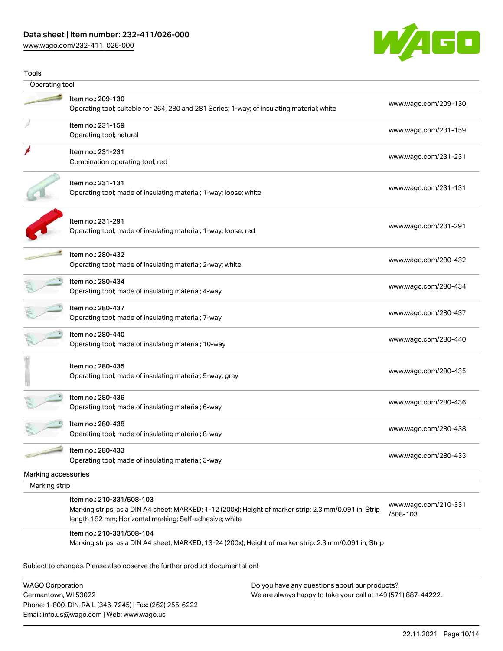[www.wago.com/232-411\\_026-000](http://www.wago.com/232-411_026-000)



| www.wago.com/209-130             |                                                                                                                                                                                                |                     |
|----------------------------------|------------------------------------------------------------------------------------------------------------------------------------------------------------------------------------------------|---------------------|
|                                  |                                                                                                                                                                                                | Operating tool      |
|                                  | Item no.: 209-130<br>Operating tool; suitable for 264, 280 and 281 Series; 1-way; of insulating material; white                                                                                |                     |
| www.wago.com/231-159             | Item no.: 231-159<br>Operating tool; natural                                                                                                                                                   |                     |
| www.wago.com/231-231             | Item no.: 231-231<br>Combination operating tool; red                                                                                                                                           |                     |
| www.wago.com/231-131             | Item no.: 231-131<br>Operating tool; made of insulating material; 1-way; loose; white                                                                                                          |                     |
| www.wago.com/231-291             | Item no.: 231-291<br>Operating tool; made of insulating material; 1-way; loose; red                                                                                                            |                     |
| www.wago.com/280-432             | Item no.: 280-432<br>Operating tool; made of insulating material; 2-way; white                                                                                                                 |                     |
| www.wago.com/280-434             | Item no.: 280-434<br>Operating tool; made of insulating material; 4-way                                                                                                                        |                     |
| www.wago.com/280-437             | Item no.: 280-437<br>Operating tool; made of insulating material; 7-way                                                                                                                        |                     |
| www.wago.com/280-440             | Item no.: 280-440<br>Operating tool; made of insulating material; 10-way                                                                                                                       |                     |
| www.wago.com/280-435             | Item no.: 280-435<br>Operating tool; made of insulating material; 5-way; gray                                                                                                                  |                     |
| www.wago.com/280-436             | Item no.: 280-436<br>Operating tool; made of insulating material; 6-way                                                                                                                        |                     |
| www.wago.com/280-438             | ltem no.: 280-438<br>Operating tool; made of insulating material; 8-way                                                                                                                        |                     |
| www.wago.com/280-433             | Item no.: 280-433<br>Operating tool; made of insulating material; 3-way                                                                                                                        |                     |
|                                  |                                                                                                                                                                                                | Marking accessories |
|                                  |                                                                                                                                                                                                | Marking strip       |
| www.wago.com/210-331<br>/508-103 | Item no.: 210-331/508-103<br>Marking strips; as a DIN A4 sheet; MARKED; 1-12 (200x); Height of marker strip: 2.3 mm/0.091 in; Strip<br>length 182 mm; Horizontal marking; Self-adhesive; white |                     |
|                                  | Item no.: 210-331/508-104<br>Marking strips; as a DIN A4 sheet; MARKED; 13-24 (200x); Height of marker strip: 2.3 mm/0.091 in; Strip                                                           |                     |
|                                  | Subject to changes. Please also observe the further product documentation!                                                                                                                     |                     |

WAGO Corporation Germantown, WI 53022 Phone: 1-800-DIN-RAIL (346-7245) | Fax: (262) 255-6222 Email: info.us@wago.com | Web: www.wago.us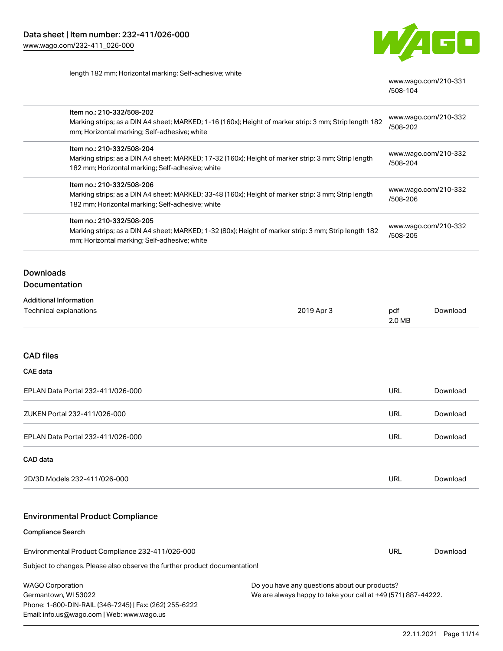Email: info.us@wago.com | Web: www.wago.us



length 182 mm; Horizontal marking; Self-adhesive; white

[www.wago.com/210-331](http://www.wago.com/210-331/508-104) [/508-104](http://www.wago.com/210-331/508-104)

| Item no.: 210-332/508-202<br>Marking strips; as a DIN A4 sheet; MARKED; 1-16 (160x); Height of marker strip: 3 mm; Strip length 182<br>mm; Horizontal marking; Self-adhesive; white |            | www.wago.com/210-332<br>/508-202                                                                               |          |  |
|-------------------------------------------------------------------------------------------------------------------------------------------------------------------------------------|------------|----------------------------------------------------------------------------------------------------------------|----------|--|
| Item no.: 210-332/508-204                                                                                                                                                           |            |                                                                                                                |          |  |
| Marking strips; as a DIN A4 sheet; MARKED; 17-32 (160x); Height of marker strip: 3 mm; Strip length<br>182 mm; Horizontal marking; Self-adhesive; white                             |            | www.wago.com/210-332                                                                                           |          |  |
|                                                                                                                                                                                     |            | /508-204                                                                                                       |          |  |
| Item no.: 210-332/508-206                                                                                                                                                           |            |                                                                                                                |          |  |
| Marking strips; as a DIN A4 sheet; MARKED; 33-48 (160x); Height of marker strip: 3 mm; Strip length<br>182 mm; Horizontal marking; Self-adhesive; white                             |            | www.wago.com/210-332<br>/508-206                                                                               |          |  |
| Item no.: 210-332/508-205                                                                                                                                                           |            |                                                                                                                |          |  |
| Marking strips; as a DIN A4 sheet; MARKED; 1-32 (80x); Height of marker strip: 3 mm; Strip length 182<br>mm; Horizontal marking; Self-adhesive; white                               |            | www.wago.com/210-332<br>/508-205                                                                               |          |  |
| <b>Downloads</b>                                                                                                                                                                    |            |                                                                                                                |          |  |
| Documentation                                                                                                                                                                       |            |                                                                                                                |          |  |
| <b>Additional Information</b>                                                                                                                                                       |            |                                                                                                                |          |  |
| Technical explanations                                                                                                                                                              | 2019 Apr 3 | pdf<br>2.0 MB                                                                                                  | Download |  |
| <b>CAD files</b>                                                                                                                                                                    |            |                                                                                                                |          |  |
| <b>CAE</b> data                                                                                                                                                                     |            |                                                                                                                |          |  |
| EPLAN Data Portal 232-411/026-000                                                                                                                                                   |            | <b>URL</b>                                                                                                     | Download |  |
| ZUKEN Portal 232-411/026-000                                                                                                                                                        |            | URL                                                                                                            | Download |  |
| EPLAN Data Portal 232-411/026-000                                                                                                                                                   |            | <b>URL</b>                                                                                                     | Download |  |
| CAD data                                                                                                                                                                            |            |                                                                                                                |          |  |
| 2D/3D Models 232-411/026-000                                                                                                                                                        |            | <b>URL</b>                                                                                                     | Download |  |
| <b>Environmental Product Compliance</b>                                                                                                                                             |            |                                                                                                                |          |  |
| <b>Compliance Search</b>                                                                                                                                                            |            |                                                                                                                |          |  |
|                                                                                                                                                                                     |            |                                                                                                                |          |  |
| Environmental Product Compliance 232-411/026-000                                                                                                                                    |            | <b>URL</b>                                                                                                     | Download |  |
| Subject to changes. Please also observe the further product documentation!                                                                                                          |            |                                                                                                                |          |  |
| <b>WAGO Corporation</b><br>Germantown, WI 53022<br>Phone: 1-800-DIN-RAIL (346-7245)   Fax: (262) 255-6222                                                                           |            | Do you have any questions about our products?<br>We are always happy to take your call at +49 (571) 887-44222. |          |  |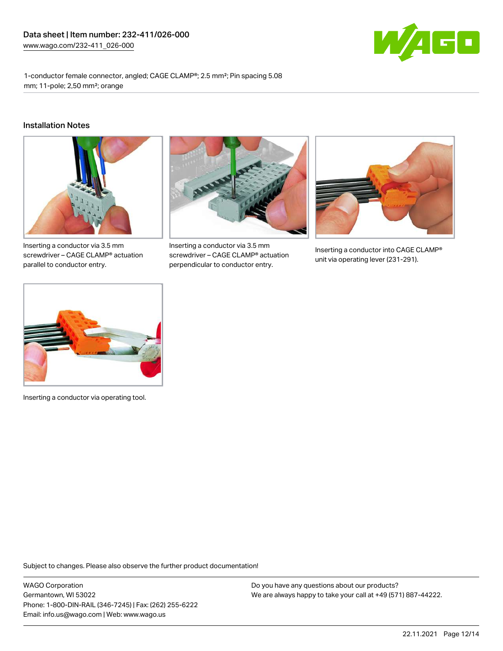

1-conductor female connector, angled; CAGE CLAMP®; 2.5 mm²; Pin spacing 5.08 mm; 11-pole; 2,50 mm²; orange

#### Installation Notes



Inserting a conductor via 3.5 mm screwdriver – CAGE CLAMP® actuation parallel to conductor entry.



Inserting a conductor via 3.5 mm screwdriver – CAGE CLAMP® actuation perpendicular to conductor entry.



Inserting a conductor into CAGE CLAMP® unit via operating lever (231-291).



Inserting a conductor via operating tool.

Subject to changes. Please also observe the further product documentation!

WAGO Corporation Germantown, WI 53022 Phone: 1-800-DIN-RAIL (346-7245) | Fax: (262) 255-6222 Email: info.us@wago.com | Web: www.wago.us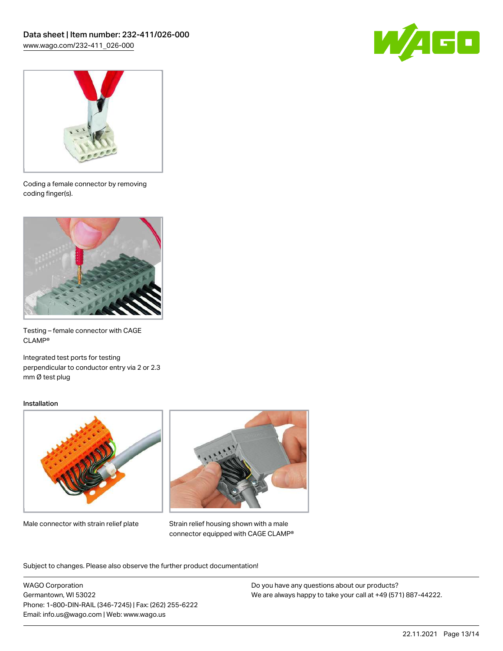



Coding a female connector by removing coding finger(s).



Testing – female connector with CAGE CLAMP®

Integrated test ports for testing perpendicular to conductor entry via 2 or 2.3 mm Ø test plug

#### Installation



Male connector with strain relief plate



Strain relief housing shown with a male connector equipped with CAGE CLAMP®

Subject to changes. Please also observe the further product documentation!

WAGO Corporation Germantown, WI 53022 Phone: 1-800-DIN-RAIL (346-7245) | Fax: (262) 255-6222 Email: info.us@wago.com | Web: www.wago.us